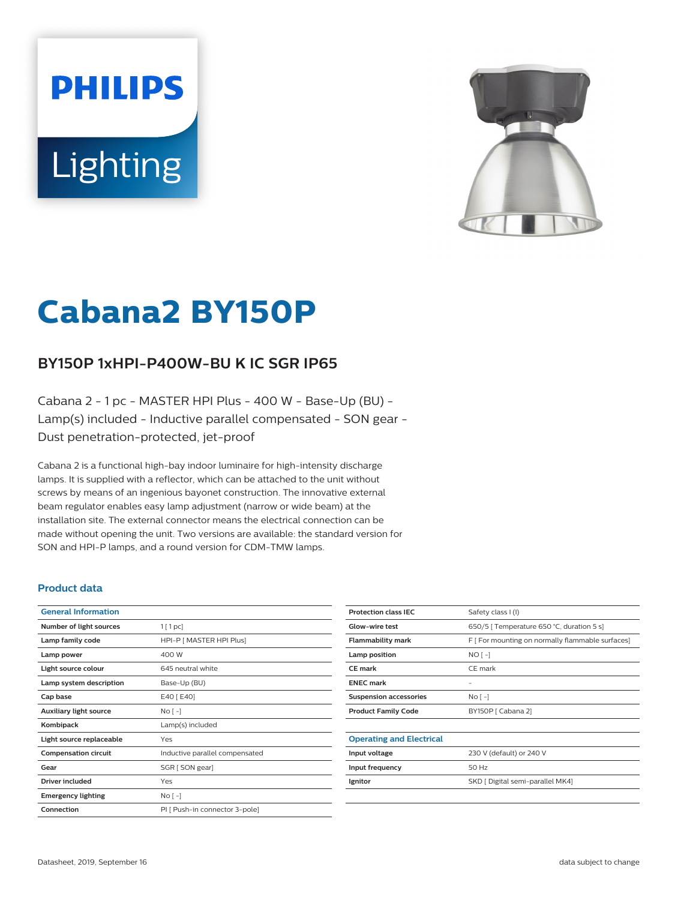# **PHILIPS Lighting**



# **Cabana2 BY150P**

## **BY150P 1xHPI-P400W-BU K IC SGR IP65**

Cabana 2 - 1 pc - MASTER HPI Plus - 400 W - Base-Up (BU) - Lamp(s) included - Inductive parallel compensated - SON gear - Dust penetration-protected, jet-proof

Cabana 2 is a functional high-bay indoor luminaire for high-intensity discharge lamps. It is supplied with a reflector, which can be attached to the unit without screws by means of an ingenious bayonet construction. The innovative external beam regulator enables easy lamp adjustment (narrow or wide beam) at the installation site. The external connector means the electrical connection can be made without opening the unit. Two versions are available: the standard version for SON and HPI-P lamps, and a round version for CDM-TMW lamps.

#### **Product data**

| <b>General Information</b>    |                                |
|-------------------------------|--------------------------------|
| Number of light sources       | $1$ [ 1 pc]                    |
| Lamp family code              | HPI-P [ MASTER HPI Plus]       |
| Lamp power                    | 400 W                          |
| Light source colour           | 645 neutral white              |
| Lamp system description       | Base-Up (BU)                   |
| Cap base                      | E40 [ E40]                     |
| <b>Auxiliary light source</b> | $N$ o $\lceil - \rceil$        |
| Kombipack                     | Lamp(s) included               |
| Light source replaceable      | Yes                            |
| <b>Compensation circuit</b>   | Inductive parallel compensated |
| Gear                          | SGR [ SON gear]                |
| <b>Driver included</b>        | Yes                            |
| <b>Emergency lighting</b>     | $No$ [ -1                      |
| Connection                    | PI [ Push-in connector 3-pole] |

| <b>Protection class IEC</b>     | Safety class I (I)                               |
|---------------------------------|--------------------------------------------------|
| Glow-wire test                  | 650/5   Temperature 650 °C, duration 5 s]        |
| <b>Flammability mark</b>        | F [ For mounting on normally flammable surfaces] |
| Lamp position                   | $NO$ [ -1                                        |
| <b>CE</b> mark                  | CE mark                                          |
| <b>ENEC mark</b>                |                                                  |
| <b>Suspension accessories</b>   | $No[-]$                                          |
| <b>Product Family Code</b>      | BY150P [ Cabana 2]                               |
|                                 |                                                  |
| <b>Operating and Electrical</b> |                                                  |
| Input voltage                   | 230 V (default) or 240 V                         |
| Input frequency                 | 50 Hz                                            |
| Ignitor                         | SKD [ Digital semi-parallel MK4]                 |
|                                 |                                                  |